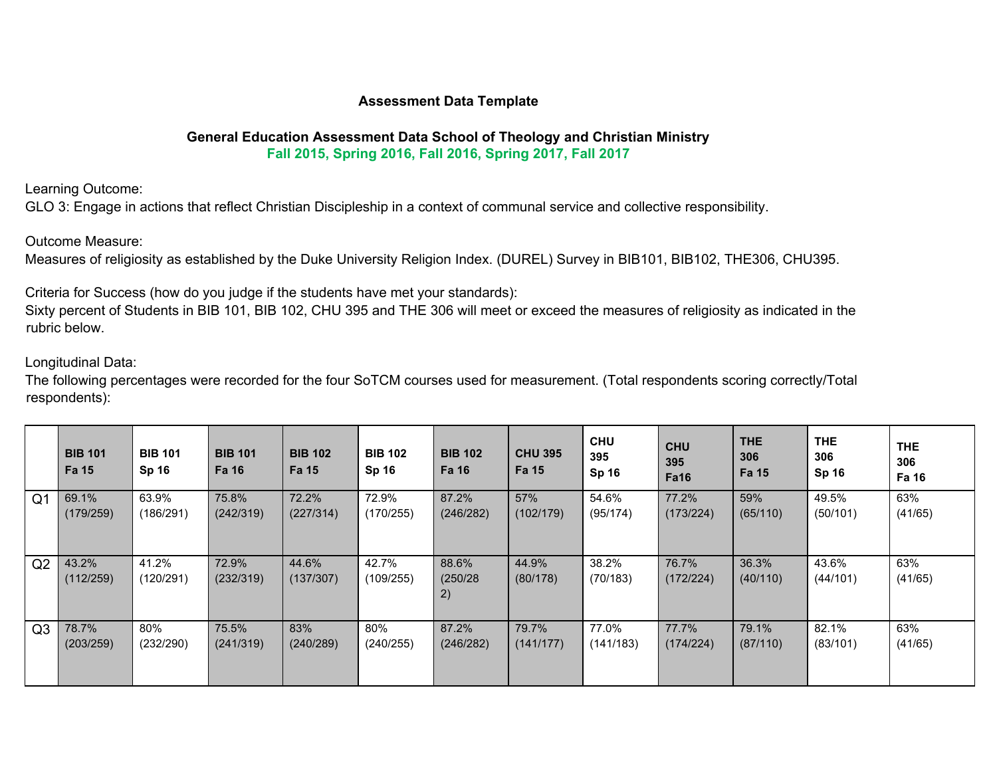# **Assessment Data Template**

# **General Education Assessment Data School of Theology and Christian Ministry**

**Fall 2015, Spring 2016, Fall 2016, Spring 2017, Fall 2017**

Learning Outcome:

GLO 3: Engage in actions that reflect Christian Discipleship in a context of communal service and collective responsibility.

Outcome Measure:

Measures of religiosity as established by the Duke University Religion Index. (DUREL) Survey in BIB101, BIB102, THE306, CHU395.

Criteria for Success (how do you judge if the students have met your standards):

Sixty percent of Students in BIB 101, BIB 102, CHU 395 and THE 306 will meet or exceed the measures of religiosity as indicated in the rubric below.

Longitudinal Data:

The following percentages were recorded for the four SoTCM courses used for measurement. (Total respondents scoring correctly/Total respondents):

|                | <b>BIB 101</b><br>Fa 15 | <b>BIB 101</b><br><b>Sp 16</b> | <b>BIB 101</b><br>Fa 16 | <b>BIB 102</b><br>Fa 15 | <b>BIB 102</b><br><b>Sp 16</b> | <b>BIB 102</b><br><b>Fa 16</b> | <b>CHU 395</b><br><b>Fa 15</b> | <b>CHU</b><br>395<br><b>Sp 16</b> | <b>CHU</b><br>395<br><b>Fa16</b> | <b>THE</b><br>306<br><b>Fa 15</b> | <b>THE</b><br>306<br><b>Sp 16</b> | <b>THE</b><br>306<br>Fa 16 |
|----------------|-------------------------|--------------------------------|-------------------------|-------------------------|--------------------------------|--------------------------------|--------------------------------|-----------------------------------|----------------------------------|-----------------------------------|-----------------------------------|----------------------------|
| Q <sub>1</sub> | 69.1%                   | 63.9%                          | 75.8%                   | 72.2%                   | 72.9%                          | 87.2%                          | 57%                            | 54.6%                             | 77.2%                            | 59%                               | 49.5%                             | 63%                        |
|                | (179/259)               | (186/291)                      | (242/319)               | (227/314)               | (170/255)                      | (246/282)                      | (102/179)                      | (95/174)                          | (173/224)                        | (65/110)                          | (50/101)                          | (41/65)                    |
| Q2             | 43.2%<br>(112/259)      | 41.2%<br>(120/291)             | 72.9%<br>(232/319)      | 44.6%<br>(137/307)      | 42.7%<br>(109/255)             | 88.6%<br>(250/28)<br>2)        | 44.9%<br>(80/178)              | 38.2%<br>(70/183)                 | 76.7%<br>(172/224)               | 36.3%<br>(40/110)                 | 43.6%<br>(44/101)                 | 63%<br>(41/65)             |
| Q <sub>3</sub> | 78.7%                   | 80%                            | 75.5%                   | 83%                     | 80%                            | 87.2%                          | 79.7%                          | 77.0%                             | 77.7%                            | 79.1%                             | 82.1%                             | 63%                        |
|                | (203/259)               | (232/290)                      | (241/319)               | (240/289)               | (240/255)                      | (246/282)                      | (141/177)                      | (141/183)                         | (174/224)                        | (87/110)                          | (83/101)                          | (41/65)                    |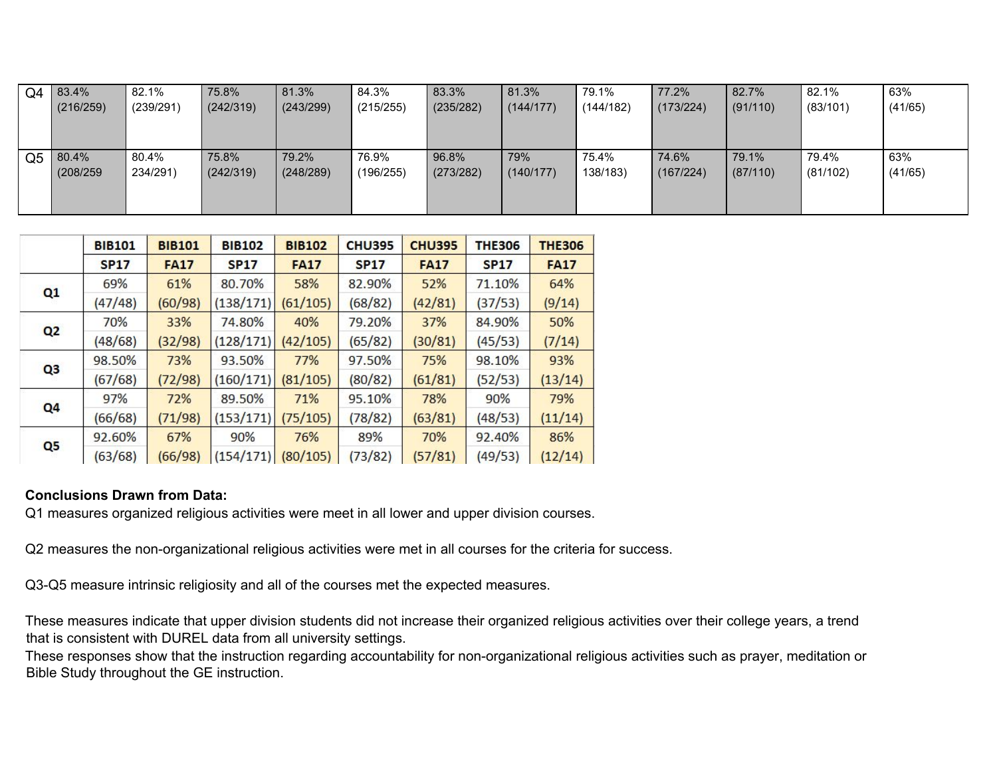| Q4             | 83.4%     | 82.1%     | 75.8%     | 81.3%     | 84.3%     | 83.3%     | 81.3%     | 79.1%     | 77.2%     | 82.7%    | 82.1%    | 63%     |
|----------------|-----------|-----------|-----------|-----------|-----------|-----------|-----------|-----------|-----------|----------|----------|---------|
|                | (216/259) | (239/291) | (242/319) | (243/299) | (215/255) | (235/282) | (144/177) | (144/182) | (173/224) | (91/110) | (83/101) | (41/65) |
|                |           |           |           |           |           |           |           |           |           |          |          |         |
|                |           |           |           |           |           |           |           |           |           |          |          |         |
| Q <sub>5</sub> | 80.4%     | 80.4%     | 75.8%     | 79.2%     | 76.9%     | 96.8%     | 79%       | 75.4%     | 74.6%     | 79.1%    | 79.4%    | 63%     |
|                | (208/259) | 234/291)  | (242/319) | (248/289) | (196/255) | (273/282) | (140/177) | 138/183)  | (167/224) | (87/110) | (81/102) | (41/65) |
|                |           |           |           |           |           |           |           |           |           |          |          |         |
|                |           |           |           |           |           |           |           |           |           |          |          |         |

|                | <b>BIB101</b> | <b>BIB101</b> | <b>BIB102</b> | <b>BIB102</b> | <b>CHU395</b> | <b>CHU395</b> | <b>THE306</b> | <b>THE306</b> |
|----------------|---------------|---------------|---------------|---------------|---------------|---------------|---------------|---------------|
|                | <b>SP17</b>   | <b>FA17</b>   | <b>SP17</b>   | <b>FA17</b>   | <b>SP17</b>   | <b>FA17</b>   | <b>SP17</b>   | <b>FA17</b>   |
| Q1             | 69%           | 61%           | 80.70%        | 58%           | 82.90%        | 52%           | 71.10%        | 64%           |
|                | (47/48)       | (60/98)       | (138/171)     | (61/105)      | (68/82)       | (42/81)       | (37/53)       | (9/14)        |
| Q <sub>2</sub> | 70%           | 33%           | 74.80%        | 40%           | 79.20%        | 37%           | 84.90%        | 50%           |
|                | (48/68)       | (32/98)       | (128/171)     | (42/105)      | (65/82)       | (30/81)       | (45/53)       | (7/14)        |
| Q <sub>3</sub> | 98.50%        | 73%           | 93.50%        | 77%           | 97.50%        | 75%           | 98.10%        | 93%           |
|                | (67/68)       | (72/98)       | (160/171)     | (81/105)      | (80/82)       | (61/81)       | (52/53)       | (13/14)       |
| Q <sub>4</sub> | 97%           | 72%           | 89.50%        | 71%           | 95.10%        | 78%           | 90%           | 79%           |
|                | (66/68)       | (71/98)       | (153/171)     | (75/105)      | (78/82)       | (63/81)       | (48/53)       | (11/14)       |
|                | 92.60%        | 67%           | 90%           | 76%           | 89%           | 70%           | 92.40%        | 86%           |
| Q <sub>5</sub> | (63/68)       | (66/98)       | (154/171)     | (80/105)      | (73/82)       | (57/81)       | (49/53)       | (12/14)       |

# **Conclusions Drawn from Data:**

Q1 measures organized religious activities were meet in all lower and upper division courses.

Q2 measures the non-organizational religious activities were met in all courses for the criteria for success.

Q3-Q5 measure intrinsic religiosity and all of the courses met the expected measures.

These measures indicate that upper division students did not increase their organized religious activities over their college years, a trend that is consistent with DUREL data from all university settings.

These responses show that the instruction regarding accountability for non-organizational religious activities such as prayer, meditation or Bible Study throughout the GE instruction.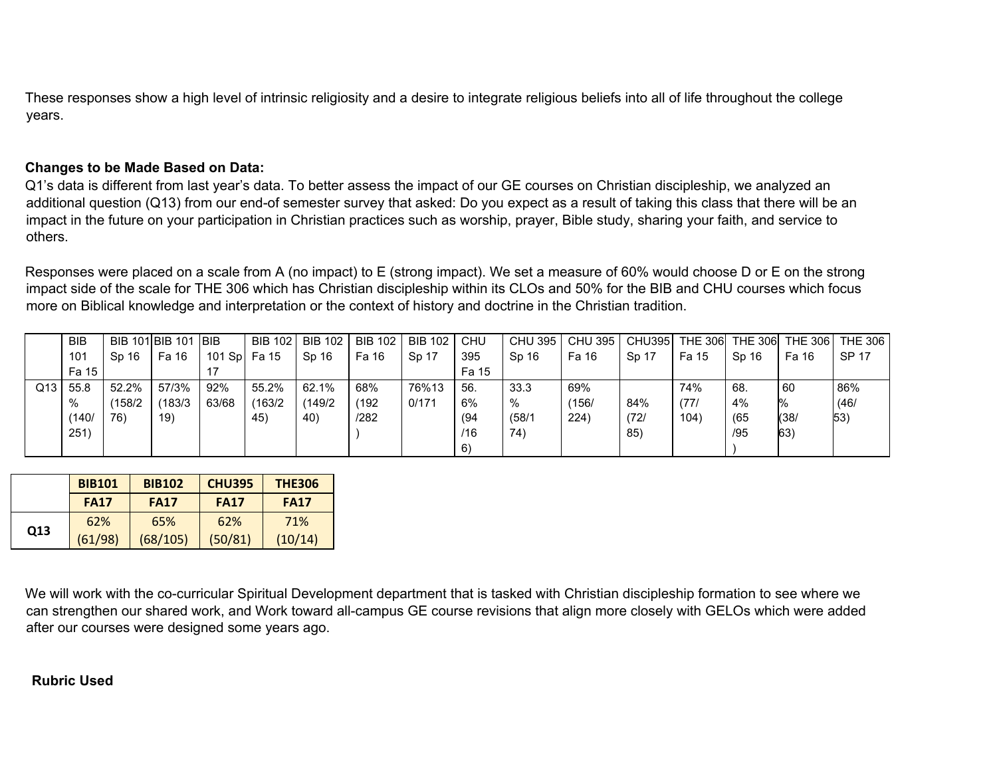These responses show a high level of intrinsic religiosity and a desire to integrate religious beliefs into all of life throughout the college years.

## **Changes to be Made Based on Data:**

Q1's data is different from last year's data. To better assess the impact of our GE courses on Christian discipleship, we analyzed an additional question (Q13) from our end-of semester survey that asked: Do you expect as a result of taking this class that there will be an impact in the future on your participation in Christian practices such as worship, prayer, Bible study, sharing your faith, and service to others.

Responses were placed on a scale from A (no impact) to E (strong impact). We set a measure of 60% would choose D or E on the strong impact side of the scale for THE 306 which has Christian discipleship within its CLOs and 50% for the BIB and CHU courses which focus more on Biblical knowledge and interpretation or the context of history and doctrine in the Christian tradition.

|     | <b>BIB</b>      |         | BIB 101 BIB 101 BIB |         | <b>BIB 102</b> | <b>BIB 102</b> | <b>BIB 102</b> | <b>BIB 102</b> | CHU   | <b>CHU 395</b> | CHU 395 | <b>CHU395</b> | <b>THE 306</b> | <b>THE 306</b> | <b>THE 306</b> | THE 306      |
|-----|-----------------|---------|---------------------|---------|----------------|----------------|----------------|----------------|-------|----------------|---------|---------------|----------------|----------------|----------------|--------------|
|     | 10 <sup>1</sup> | Sp 16   | Fa 16               | 101 Spl | Fa 15          | Sp 16          | Fa 16          | Sp 17          | 395   | Sp 16          | Fa 16   | Sp 17         | Fa 15          | Sp 16          | Fa 16          | <b>SP 17</b> |
|     | Fa 15           |         |                     |         |                |                |                |                | Fa 15 |                |         |               |                |                |                |              |
| Q13 | 55.8            | 52.2%   | 57/3%               | 92%     | 55.2%          | 62.1%          | 68%            | 76%13          | 56.   | 33.3           | 69%     |               | 74%            | 68.            | 60             | 86%          |
|     | $\%$            | (158/2) | (183/3)             | 63/68   | (163/2)        | (149/2         | (192)          | 0/171          | 6%    | $\%$           | (156)   | 84%           | (77)           | 4%             | %              | (46)         |
|     | (140/           | 76)     | 19)                 |         | 45             | 40)            | /282           |                | (94)  | (58/1)         | 224)    | (72/          | 104)           | (65)           | (38/           | 53)          |
|     | 251,            |         |                     |         |                |                |                |                | /16   | 74             |         | 85            |                | /95            | 63)            |              |
|     |                 |         |                     |         |                |                |                |                | 6)    |                |         |               |                |                |                |              |

|     | <b>BIB101</b> | <b>BIB102</b> | <b>CHU395</b> | <b>THE306</b> |
|-----|---------------|---------------|---------------|---------------|
|     | <b>FA17</b>   | <b>FA17</b>   | <b>FA17</b>   | <b>FA17</b>   |
|     | 62%           | 65%           | 62%           | 71%           |
| Q13 | (61/98)       | (68/105)      | (50/81)       | (10/14)       |

We will work with the co-curricular Spiritual Development department that is tasked with Christian discipleship formation to see where we can strengthen our shared work, and Work toward all-campus GE course revisions that align more closely with GELOs which were added after our courses were designed some years ago.

#### **Rubric Used**